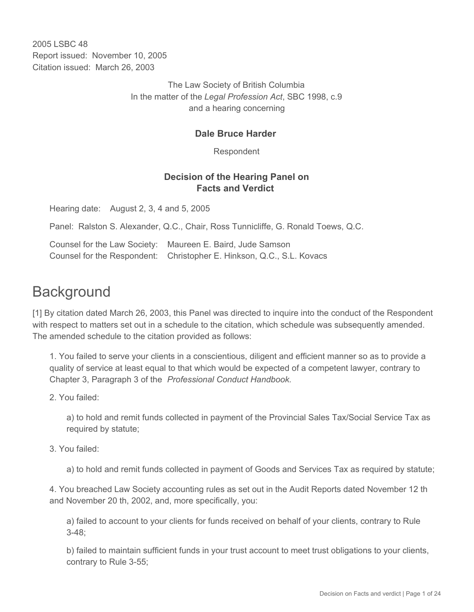2005 LSBC 48 Report issued: November 10, 2005 Citation issued: March 26, 2003

> The Law Society of British Columbia In the matter of the *Legal Profession Act*, SBC 1998, c.9 and a hearing concerning

#### **Dale Bruce Harder**

Respondent

#### **Decision of the Hearing Panel on Facts and Verdict**

Hearing date: August 2, 3, 4 and 5, 2005

Panel: Ralston S. Alexander, Q.C., Chair, Ross Tunnicliffe, G. Ronald Toews, Q.C.

Counsel for the Law Society: Maureen E. Baird, Jude Samson Counsel for the Respondent: Christopher E. Hinkson, Q.C., S.L. Kovacs

# **Background**

[1] By citation dated March 26, 2003, this Panel was directed to inquire into the conduct of the Respondent with respect to matters set out in a schedule to the citation, which schedule was subsequently amended. The amended schedule to the citation provided as follows:

1. You failed to serve your clients in a conscientious, diligent and efficient manner so as to provide a quality of service at least equal to that which would be expected of a competent lawyer, contrary to Chapter 3, Paragraph 3 of the *Professional Conduct Handbook.*

2. You failed:

a) to hold and remit funds collected in payment of the Provincial Sales Tax/Social Service Tax as required by statute;

3. You failed:

a) to hold and remit funds collected in payment of Goods and Services Tax as required by statute;

4. You breached Law Society accounting rules as set out in the Audit Reports dated November 12 th and November 20 th, 2002, and, more specifically, you:

a) failed to account to your clients for funds received on behalf of your clients, contrary to Rule 3-48;

b) failed to maintain sufficient funds in your trust account to meet trust obligations to your clients, contrary to Rule 3-55;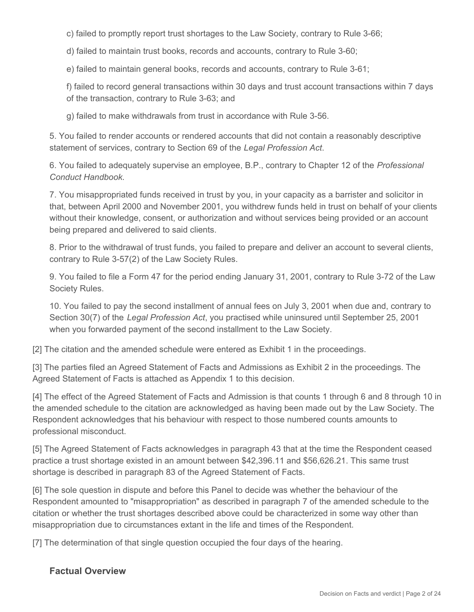c) failed to promptly report trust shortages to the Law Society, contrary to Rule 3-66;

d) failed to maintain trust books, records and accounts, contrary to Rule 3-60;

e) failed to maintain general books, records and accounts, contrary to Rule 3-61;

f) failed to record general transactions within 30 days and trust account transactions within 7 days of the transaction, contrary to Rule 3-63; and

g) failed to make withdrawals from trust in accordance with Rule 3-56.

5. You failed to render accounts or rendered accounts that did not contain a reasonably descriptive statement of services, contrary to Section 69 of the *Legal Profession Act*.

6. You failed to adequately supervise an employee, B.P., contrary to Chapter 12 of the *Professional Conduct Handbook*.

7. You misappropriated funds received in trust by you, in your capacity as a barrister and solicitor in that, between April 2000 and November 2001, you withdrew funds held in trust on behalf of your clients without their knowledge, consent, or authorization and without services being provided or an account being prepared and delivered to said clients.

8. Prior to the withdrawal of trust funds, you failed to prepare and deliver an account to several clients, contrary to Rule 3-57(2) of the Law Society Rules.

9. You failed to file a Form 47 for the period ending January 31, 2001, contrary to Rule 3-72 of the Law Society Rules.

10. You failed to pay the second installment of annual fees on July 3, 2001 when due and, contrary to Section 30(7) of the *Legal Profession Act*, you practised while uninsured until September 25, 2001 when you forwarded payment of the second installment to the Law Society.

[2] The citation and the amended schedule were entered as Exhibit 1 in the proceedings.

[3] The parties filed an Agreed Statement of Facts and Admissions as Exhibit 2 in the proceedings. The Agreed Statement of Facts is attached as Appendix 1 to this decision.

[4] The effect of the Agreed Statement of Facts and Admission is that counts 1 through 6 and 8 through 10 in the amended schedule to the citation are acknowledged as having been made out by the Law Society. The Respondent acknowledges that his behaviour with respect to those numbered counts amounts to professional misconduct.

[5] The Agreed Statement of Facts acknowledges in paragraph 43 that at the time the Respondent ceased practice a trust shortage existed in an amount between \$42,396.11 and \$56,626.21. This same trust shortage is described in paragraph 83 of the Agreed Statement of Facts.

[6] The sole question in dispute and before this Panel to decide was whether the behaviour of the Respondent amounted to "misappropriation" as described in paragraph 7 of the amended schedule to the citation or whether the trust shortages described above could be characterized in some way other than misappropriation due to circumstances extant in the life and times of the Respondent.

[7] The determination of that single question occupied the four days of the hearing.

#### **Factual Overview**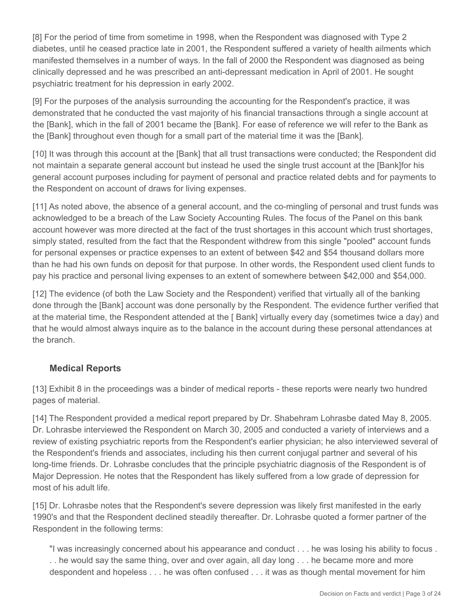[8] For the period of time from sometime in 1998, when the Respondent was diagnosed with Type 2 diabetes, until he ceased practice late in 2001, the Respondent suffered a variety of health ailments which manifested themselves in a number of ways. In the fall of 2000 the Respondent was diagnosed as being clinically depressed and he was prescribed an anti-depressant medication in April of 2001. He sought psychiatric treatment for his depression in early 2002.

[9] For the purposes of the analysis surrounding the accounting for the Respondent's practice, it was demonstrated that he conducted the vast majority of his financial transactions through a single account at the [Bank], which in the fall of 2001 became the [Bank]. For ease of reference we will refer to the Bank as the [Bank] throughout even though for a small part of the material time it was the [Bank].

[10] It was through this account at the [Bank] that all trust transactions were conducted; the Respondent did not maintain a separate general account but instead he used the single trust account at the [Bank]for his general account purposes including for payment of personal and practice related debts and for payments to the Respondent on account of draws for living expenses.

[11] As noted above, the absence of a general account, and the co-mingling of personal and trust funds was acknowledged to be a breach of the Law Society Accounting Rules. The focus of the Panel on this bank account however was more directed at the fact of the trust shortages in this account which trust shortages, simply stated, resulted from the fact that the Respondent withdrew from this single "pooled" account funds for personal expenses or practice expenses to an extent of between \$42 and \$54 thousand dollars more than he had his own funds on deposit for that purpose. In other words, the Respondent used client funds to pay his practice and personal living expenses to an extent of somewhere between \$42,000 and \$54,000.

[12] The evidence (of both the Law Society and the Respondent) verified that virtually all of the banking done through the [Bank] account was done personally by the Respondent. The evidence further verified that at the material time, the Respondent attended at the [ Bank] virtually every day (sometimes twice a day) and that he would almost always inquire as to the balance in the account during these personal attendances at the branch.

## **Medical Reports**

[13] Exhibit 8 in the proceedings was a binder of medical reports - these reports were nearly two hundred pages of material.

[14] The Respondent provided a medical report prepared by Dr. Shabehram Lohrasbe dated May 8, 2005. Dr. Lohrasbe interviewed the Respondent on March 30, 2005 and conducted a variety of interviews and a review of existing psychiatric reports from the Respondent's earlier physician; he also interviewed several of the Respondent's friends and associates, including his then current conjugal partner and several of his long-time friends. Dr. Lohrasbe concludes that the principle psychiatric diagnosis of the Respondent is of Major Depression. He notes that the Respondent has likely suffered from a low grade of depression for most of his adult life.

[15] Dr. Lohrasbe notes that the Respondent's severe depression was likely first manifested in the early 1990's and that the Respondent declined steadily thereafter. Dr. Lohrasbe quoted a former partner of the Respondent in the following terms:

"I was increasingly concerned about his appearance and conduct . . . he was losing his ability to focus . . . he would say the same thing, over and over again, all day long . . . he became more and more despondent and hopeless . . . he was often confused . . . it was as though mental movement for him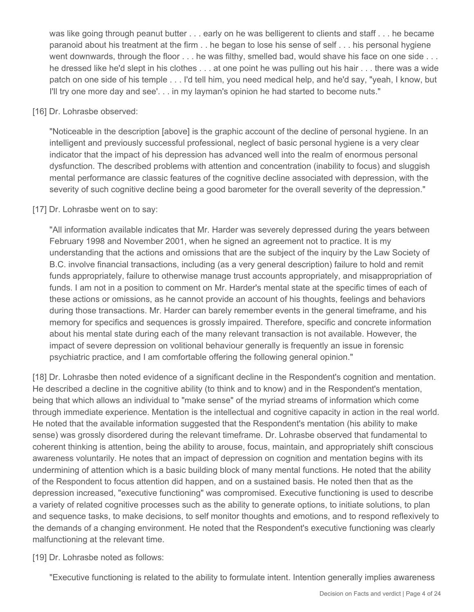was like going through peanut butter . . . early on he was belligerent to clients and staff . . . he became paranoid about his treatment at the firm . . he began to lose his sense of self . . . his personal hygiene went downwards, through the floor . . . he was filthy, smelled bad, would shave his face on one side . . . he dressed like he'd slept in his clothes . . . at one point he was pulling out his hair . . . there was a wide patch on one side of his temple . . . I'd tell him, you need medical help, and he'd say, "yeah, I know, but I'll try one more day and see'. . . in my layman's opinion he had started to become nuts."

#### [16] Dr. Lohrasbe observed:

"Noticeable in the description [above] is the graphic account of the decline of personal hygiene. In an intelligent and previously successful professional, neglect of basic personal hygiene is a very clear indicator that the impact of his depression has advanced well into the realm of enormous personal dysfunction. The described problems with attention and concentration (inability to focus) and sluggish mental performance are classic features of the cognitive decline associated with depression, with the severity of such cognitive decline being a good barometer for the overall severity of the depression."

#### [17] Dr. Lohrasbe went on to say:

"All information available indicates that Mr. Harder was severely depressed during the years between February 1998 and November 2001, when he signed an agreement not to practice. It is my understanding that the actions and omissions that are the subject of the inquiry by the Law Society of B.C. involve financial transactions, including (as a very general description) failure to hold and remit funds appropriately, failure to otherwise manage trust accounts appropriately, and misappropriation of funds. I am not in a position to comment on Mr. Harder's mental state at the specific times of each of these actions or omissions, as he cannot provide an account of his thoughts, feelings and behaviors during those transactions. Mr. Harder can barely remember events in the general timeframe, and his memory for specifics and sequences is grossly impaired. Therefore, specific and concrete information about his mental state during each of the many relevant transaction is not available. However, the impact of severe depression on volitional behaviour generally is frequently an issue in forensic psychiatric practice, and I am comfortable offering the following general opinion."

[18] Dr. Lohrasbe then noted evidence of a significant decline in the Respondent's cognition and mentation. He described a decline in the cognitive ability (to think and to know) and in the Respondent's mentation, being that which allows an individual to "make sense" of the myriad streams of information which come through immediate experience. Mentation is the intellectual and cognitive capacity in action in the real world. He noted that the available information suggested that the Respondent's mentation (his ability to make sense) was grossly disordered during the relevant timeframe. Dr. Lohrasbe observed that fundamental to coherent thinking is attention, being the ability to arouse, focus, maintain, and appropriately shift conscious awareness voluntarily. He notes that an impact of depression on cognition and mentation begins with its undermining of attention which is a basic building block of many mental functions. He noted that the ability of the Respondent to focus attention did happen, and on a sustained basis. He noted then that as the depression increased, "executive functioning" was compromised. Executive functioning is used to describe a variety of related cognitive processes such as the ability to generate options, to initiate solutions, to plan and sequence tasks, to make decisions, to self monitor thoughts and emotions, and to respond reflexively to the demands of a changing environment. He noted that the Respondent's executive functioning was clearly malfunctioning at the relevant time.

#### [19] Dr. Lohrasbe noted as follows:

"Executive functioning is related to the ability to formulate intent. Intention generally implies awareness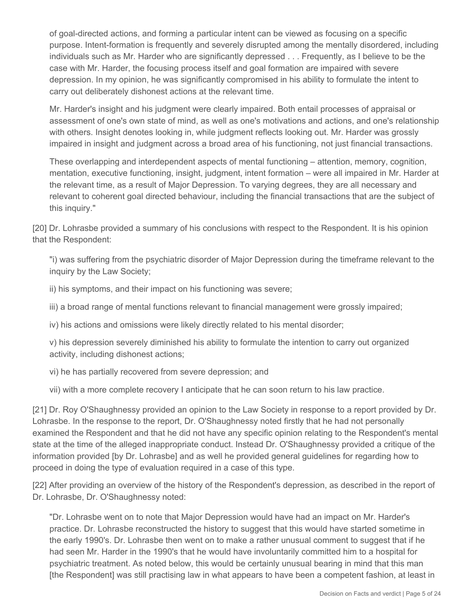of goal-directed actions, and forming a particular intent can be viewed as focusing on a specific purpose. Intent-formation is frequently and severely disrupted among the mentally disordered, including individuals such as Mr. Harder who are significantly depressed . . . Frequently, as I believe to be the case with Mr. Harder, the focusing process itself and goal formation are impaired with severe depression. In my opinion, he was significantly compromised in his ability to formulate the intent to carry out deliberately dishonest actions at the relevant time.

Mr. Harder's insight and his judgment were clearly impaired. Both entail processes of appraisal or assessment of one's own state of mind, as well as one's motivations and actions, and one's relationship with others. Insight denotes looking in, while judgment reflects looking out. Mr. Harder was grossly impaired in insight and judgment across a broad area of his functioning, not just financial transactions.

These overlapping and interdependent aspects of mental functioning – attention, memory, cognition, mentation, executive functioning, insight, judgment, intent formation – were all impaired in Mr. Harder at the relevant time, as a result of Major Depression. To varying degrees, they are all necessary and relevant to coherent goal directed behaviour, including the financial transactions that are the subject of this inquiry."

[20] Dr. Lohrasbe provided a summary of his conclusions with respect to the Respondent. It is his opinion that the Respondent:

"i) was suffering from the psychiatric disorder of Major Depression during the timeframe relevant to the inquiry by the Law Society;

ii) his symptoms, and their impact on his functioning was severe;

iii) a broad range of mental functions relevant to financial management were grossly impaired;

iv) his actions and omissions were likely directly related to his mental disorder;

v) his depression severely diminished his ability to formulate the intention to carry out organized activity, including dishonest actions;

vi) he has partially recovered from severe depression; and

vii) with a more complete recovery I anticipate that he can soon return to his law practice.

[21] Dr. Roy O'Shaughnessy provided an opinion to the Law Society in response to a report provided by Dr. Lohrasbe. In the response to the report, Dr. O'Shaughnessy noted firstly that he had not personally examined the Respondent and that he did not have any specific opinion relating to the Respondent's mental state at the time of the alleged inappropriate conduct. Instead Dr. O'Shaughnessy provided a critique of the information provided [by Dr. Lohrasbe] and as well he provided general guidelines for regarding how to proceed in doing the type of evaluation required in a case of this type.

[22] After providing an overview of the history of the Respondent's depression, as described in the report of Dr. Lohrasbe, Dr. O'Shaughnessy noted:

"Dr. Lohrasbe went on to note that Major Depression would have had an impact on Mr. Harder's practice. Dr. Lohrasbe reconstructed the history to suggest that this would have started sometime in the early 1990's. Dr. Lohrasbe then went on to make a rather unusual comment to suggest that if he had seen Mr. Harder in the 1990's that he would have involuntarily committed him to a hospital for psychiatric treatment. As noted below, this would be certainly unusual bearing in mind that this man [the Respondent] was still practising law in what appears to have been a competent fashion, at least in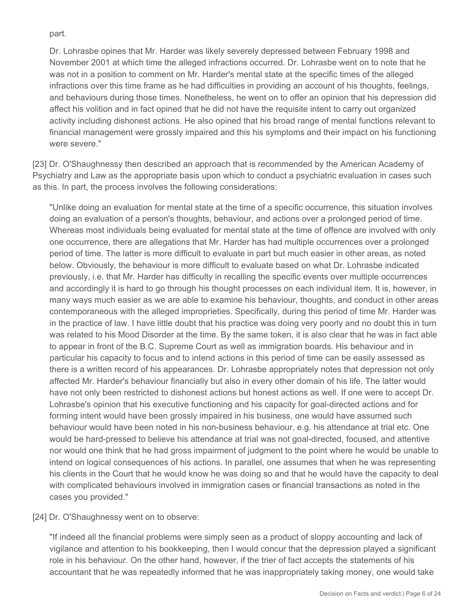part.

Dr. Lohrasbe opines that Mr. Harder was likely severely depressed between February 1998 and November 2001 at which time the alleged infractions occurred. Dr. Lohrasbe went on to note that he was not in a position to comment on Mr. Harder's mental state at the specific times of the alleged infractions over this time frame as he had difficulties in providing an account of his thoughts, feelings, and behaviours during those times. Nonetheless, he went on to offer an opinion that his depression did affect his volition and in fact opined that he did not have the requisite intent to carry out organized activity including dishonest actions. He also opined that his broad range of mental functions relevant to financial management were grossly impaired and this his symptoms and their impact on his functioning were severe."

[23] Dr. O'Shaughnessy then described an approach that is recommended by the American Academy of Psychiatry and Law as the appropriate basis upon which to conduct a psychiatric evaluation in cases such as this. In part, the process involves the following considerations:

"Unlike doing an evaluation for mental state at the time of a specific occurrence, this situation involves doing an evaluation of a person's thoughts, behaviour, and actions over a prolonged period of time. Whereas most individuals being evaluated for mental state at the time of offence are involved with only one occurrence, there are allegations that Mr. Harder has had multiple occurrences over a prolonged period of time. The latter is more difficult to evaluate in part but much easier in other areas, as noted below. Obviously, the behaviour is more difficult to evaluate based on what Dr. Lohrasbe indicated previously, i.e. that Mr. Harder has difficulty in recalling the specific events over multiple occurrences and accordingly it is hard to go through his thought processes on each individual item. It is, however, in many ways much easier as we are able to examine his behaviour, thoughts, and conduct in other areas contemporaneous with the alleged improprieties. Specifically, during this period of time Mr. Harder was in the practice of law. I have little doubt that his practice was doing very poorly and no doubt this in turn was related to his Mood Disorder at the time. By the same token, it is also clear that he was in fact able to appear in front of the B.C. Supreme Court as well as immigration boards. His behaviour and in particular his capacity to focus and to intend actions in this period of time can be easily assessed as there is a written record of his appearances. Dr. Lohrasbe appropriately notes that depression not only affected Mr. Harder's behaviour financially but also in every other domain of his life. The latter would have not only been restricted to dishonest actions but honest actions as well. If one were to accept Dr. Lohrasbe's opinion that his executive functioning and his capacity for goal-directed actions and for forming intent would have been grossly impaired in his business, one would have assumed such behaviour would have been noted in his non-business behaviour, e.g. his attendance at trial etc. One would be hard-pressed to believe his attendance at trial was not goal-directed, focused, and attentive nor would one think that he had gross impairment of judgment to the point where he would be unable to intend on logical consequences of his actions. In parallel, one assumes that when he was representing his clients in the Court that he would know he was doing so and that he would have the capacity to deal with complicated behaviours involved in immigration cases or financial transactions as noted in the cases you provided."

[24] Dr. O'Shaughnessy went on to observe:

"If indeed all the financial problems were simply seen as a product of sloppy accounting and lack of vigilance and attention to his bookkeeping, then I would concur that the depression played a significant role in his behaviour. On the other hand, however, if the trier of fact accepts the statements of his accountant that he was repeatedly informed that he was inappropriately taking money, one would take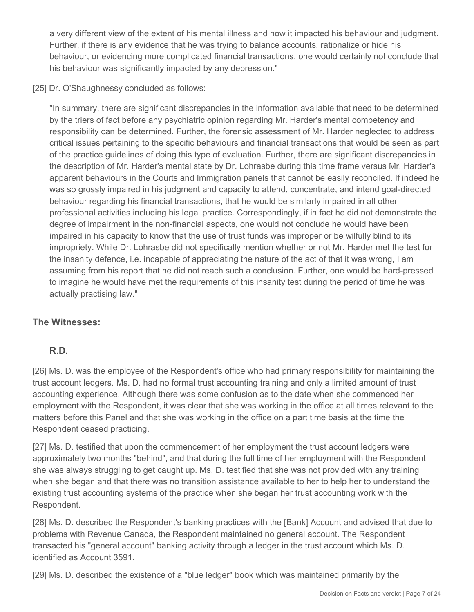a very different view of the extent of his mental illness and how it impacted his behaviour and judgment. Further, if there is any evidence that he was trying to balance accounts, rationalize or hide his behaviour, or evidencing more complicated financial transactions, one would certainly not conclude that his behaviour was significantly impacted by any depression."

[25] Dr. O'Shaughnessy concluded as follows:

"In summary, there are significant discrepancies in the information available that need to be determined by the triers of fact before any psychiatric opinion regarding Mr. Harder's mental competency and responsibility can be determined. Further, the forensic assessment of Mr. Harder neglected to address critical issues pertaining to the specific behaviours and financial transactions that would be seen as part of the practice guidelines of doing this type of evaluation. Further, there are significant discrepancies in the description of Mr. Harder's mental state by Dr. Lohrasbe during this time frame versus Mr. Harder's apparent behaviours in the Courts and Immigration panels that cannot be easily reconciled. If indeed he was so grossly impaired in his judgment and capacity to attend, concentrate, and intend goal-directed behaviour regarding his financial transactions, that he would be similarly impaired in all other professional activities including his legal practice. Correspondingly, if in fact he did not demonstrate the degree of impairment in the non-financial aspects, one would not conclude he would have been impaired in his capacity to know that the use of trust funds was improper or be wilfully blind to its impropriety. While Dr. Lohrasbe did not specifically mention whether or not Mr. Harder met the test for the insanity defence, i.e. incapable of appreciating the nature of the act of that it was wrong, I am assuming from his report that he did not reach such a conclusion. Further, one would be hard-pressed to imagine he would have met the requirements of this insanity test during the period of time he was actually practising law."

## **The Witnesses:**

## **R.D.**

[26] Ms. D. was the employee of the Respondent's office who had primary responsibility for maintaining the trust account ledgers. Ms. D. had no formal trust accounting training and only a limited amount of trust accounting experience. Although there was some confusion as to the date when she commenced her employment with the Respondent, it was clear that she was working in the office at all times relevant to the matters before this Panel and that she was working in the office on a part time basis at the time the Respondent ceased practicing.

[27] Ms. D. testified that upon the commencement of her employment the trust account ledgers were approximately two months "behind", and that during the full time of her employment with the Respondent she was always struggling to get caught up. Ms. D. testified that she was not provided with any training when she began and that there was no transition assistance available to her to help her to understand the existing trust accounting systems of the practice when she began her trust accounting work with the Respondent.

[28] Ms. D. described the Respondent's banking practices with the [Bank] Account and advised that due to problems with Revenue Canada, the Respondent maintained no general account. The Respondent transacted his "general account" banking activity through a ledger in the trust account which Ms. D. identified as Account 3591.

[29] Ms. D. described the existence of a "blue ledger" book which was maintained primarily by the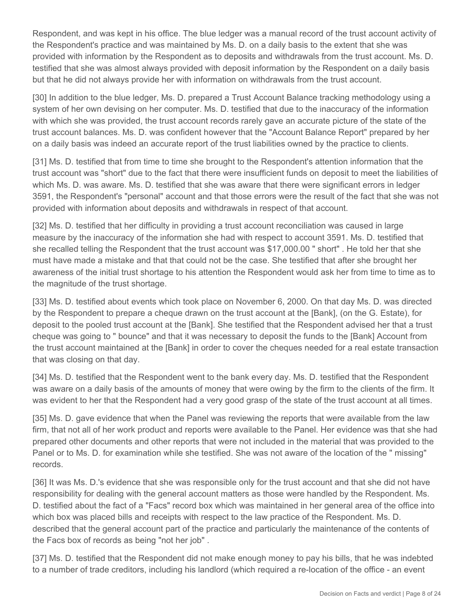Respondent, and was kept in his office. The blue ledger was a manual record of the trust account activity of the Respondent's practice and was maintained by Ms. D. on a daily basis to the extent that she was provided with information by the Respondent as to deposits and withdrawals from the trust account. Ms. D. testified that she was almost always provided with deposit information by the Respondent on a daily basis but that he did not always provide her with information on withdrawals from the trust account.

[30] In addition to the blue ledger, Ms. D. prepared a Trust Account Balance tracking methodology using a system of her own devising on her computer. Ms. D. testified that due to the inaccuracy of the information with which she was provided, the trust account records rarely gave an accurate picture of the state of the trust account balances. Ms. D. was confident however that the "Account Balance Report" prepared by her on a daily basis was indeed an accurate report of the trust liabilities owned by the practice to clients.

[31] Ms. D. testified that from time to time she brought to the Respondent's attention information that the trust account was "short" due to the fact that there were insufficient funds on deposit to meet the liabilities of which Ms. D. was aware. Ms. D. testified that she was aware that there were significant errors in ledger 3591, the Respondent's "personal" account and that those errors were the result of the fact that she was not provided with information about deposits and withdrawals in respect of that account.

[32] Ms. D. testified that her difficulty in providing a trust account reconciliation was caused in large measure by the inaccuracy of the information she had with respect to account 3591. Ms. D. testified that she recalled telling the Respondent that the trust account was \$17,000.00 " short" . He told her that she must have made a mistake and that that could not be the case. She testified that after she brought her awareness of the initial trust shortage to his attention the Respondent would ask her from time to time as to the magnitude of the trust shortage.

[33] Ms. D. testified about events which took place on November 6, 2000. On that day Ms. D. was directed by the Respondent to prepare a cheque drawn on the trust account at the [Bank], (on the G. Estate), for deposit to the pooled trust account at the [Bank]. She testified that the Respondent advised her that a trust cheque was going to " bounce" and that it was necessary to deposit the funds to the [Bank] Account from the trust account maintained at the [Bank] in order to cover the cheques needed for a real estate transaction that was closing on that day.

[34] Ms. D. testified that the Respondent went to the bank every day. Ms. D. testified that the Respondent was aware on a daily basis of the amounts of money that were owing by the firm to the clients of the firm. It was evident to her that the Respondent had a very good grasp of the state of the trust account at all times.

[35] Ms. D. gave evidence that when the Panel was reviewing the reports that were available from the law firm, that not all of her work product and reports were available to the Panel. Her evidence was that she had prepared other documents and other reports that were not included in the material that was provided to the Panel or to Ms. D. for examination while she testified. She was not aware of the location of the " missing" records.

[36] It was Ms. D.'s evidence that she was responsible only for the trust account and that she did not have responsibility for dealing with the general account matters as those were handled by the Respondent. Ms. D. testified about the fact of a "Facs" record box which was maintained in her general area of the office into which box was placed bills and receipts with respect to the law practice of the Respondent. Ms. D. described that the general account part of the practice and particularly the maintenance of the contents of the Facs box of records as being "not her job" .

[37] Ms. D. testified that the Respondent did not make enough money to pay his bills, that he was indebted to a number of trade creditors, including his landlord (which required a re-location of the office - an event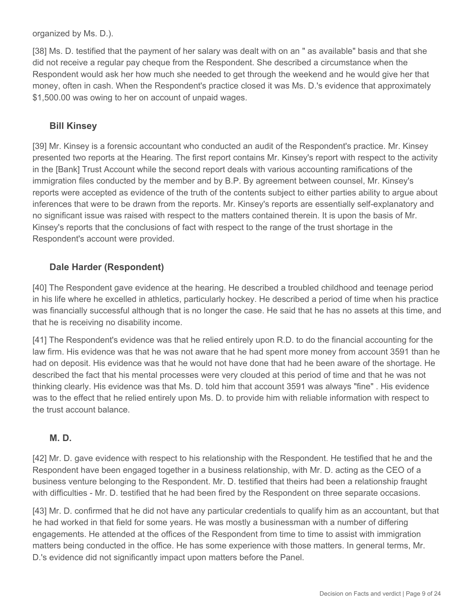organized by Ms. D.).

[38] Ms. D. testified that the payment of her salary was dealt with on an " as available" basis and that she did not receive a regular pay cheque from the Respondent. She described a circumstance when the Respondent would ask her how much she needed to get through the weekend and he would give her that money, often in cash. When the Respondent's practice closed it was Ms. D.'s evidence that approximately \$1,500.00 was owing to her on account of unpaid wages.

## **Bill Kinsey**

[39] Mr. Kinsey is a forensic accountant who conducted an audit of the Respondent's practice. Mr. Kinsey presented two reports at the Hearing. The first report contains Mr. Kinsey's report with respect to the activity in the [Bank] Trust Account while the second report deals with various accounting ramifications of the immigration files conducted by the member and by B.P. By agreement between counsel, Mr. Kinsey's reports were accepted as evidence of the truth of the contents subject to either parties ability to argue about inferences that were to be drawn from the reports. Mr. Kinsey's reports are essentially self-explanatory and no significant issue was raised with respect to the matters contained therein. It is upon the basis of Mr. Kinsey's reports that the conclusions of fact with respect to the range of the trust shortage in the Respondent's account were provided.

## **Dale Harder (Respondent)**

[40] The Respondent gave evidence at the hearing. He described a troubled childhood and teenage period in his life where he excelled in athletics, particularly hockey. He described a period of time when his practice was financially successful although that is no longer the case. He said that he has no assets at this time, and that he is receiving no disability income.

[41] The Respondent's evidence was that he relied entirely upon R.D. to do the financial accounting for the law firm. His evidence was that he was not aware that he had spent more money from account 3591 than he had on deposit. His evidence was that he would not have done that had he been aware of the shortage. He described the fact that his mental processes were very clouded at this period of time and that he was not thinking clearly. His evidence was that Ms. D. told him that account 3591 was always "fine" . His evidence was to the effect that he relied entirely upon Ms. D. to provide him with reliable information with respect to the trust account balance.

#### **M. D.**

[42] Mr. D. gave evidence with respect to his relationship with the Respondent. He testified that he and the Respondent have been engaged together in a business relationship, with Mr. D. acting as the CEO of a business venture belonging to the Respondent. Mr. D. testified that theirs had been a relationship fraught with difficulties - Mr. D. testified that he had been fired by the Respondent on three separate occasions.

[43] Mr. D. confirmed that he did not have any particular credentials to qualify him as an accountant, but that he had worked in that field for some years. He was mostly a businessman with a number of differing engagements. He attended at the offices of the Respondent from time to time to assist with immigration matters being conducted in the office. He has some experience with those matters. In general terms, Mr. D.'s evidence did not significantly impact upon matters before the Panel.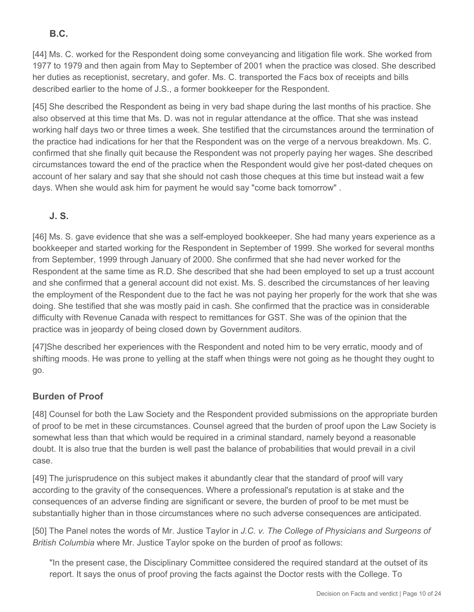# **B.C.**

[44] Ms. C. worked for the Respondent doing some conveyancing and litigation file work. She worked from 1977 to 1979 and then again from May to September of 2001 when the practice was closed. She described her duties as receptionist, secretary, and gofer. Ms. C. transported the Facs box of receipts and bills described earlier to the home of J.S., a former bookkeeper for the Respondent.

[45] She described the Respondent as being in very bad shape during the last months of his practice. She also observed at this time that Ms. D. was not in regular attendance at the office. That she was instead working half days two or three times a week. She testified that the circumstances around the termination of the practice had indications for her that the Respondent was on the verge of a nervous breakdown. Ms. C. confirmed that she finally quit because the Respondent was not properly paying her wages. She described circumstances toward the end of the practice when the Respondent would give her post-dated cheques on account of her salary and say that she should not cash those cheques at this time but instead wait a few days. When she would ask him for payment he would say "come back tomorrow" .

# **J. S.**

[46] Ms. S. gave evidence that she was a self-employed bookkeeper. She had many years experience as a bookkeeper and started working for the Respondent in September of 1999. She worked for several months from September, 1999 through January of 2000. She confirmed that she had never worked for the Respondent at the same time as R.D. She described that she had been employed to set up a trust account and she confirmed that a general account did not exist. Ms. S. described the circumstances of her leaving the employment of the Respondent due to the fact he was not paying her properly for the work that she was doing. She testified that she was mostly paid in cash. She confirmed that the practice was in considerable difficulty with Revenue Canada with respect to remittances for GST. She was of the opinion that the practice was in jeopardy of being closed down by Government auditors.

[47]She described her experiences with the Respondent and noted him to be very erratic, moody and of shifting moods. He was prone to yelling at the staff when things were not going as he thought they ought to go.

## **Burden of Proof**

[48] Counsel for both the Law Society and the Respondent provided submissions on the appropriate burden of proof to be met in these circumstances. Counsel agreed that the burden of proof upon the Law Society is somewhat less than that which would be required in a criminal standard, namely beyond a reasonable doubt. It is also true that the burden is well past the balance of probabilities that would prevail in a civil case.

[49] The jurisprudence on this subject makes it abundantly clear that the standard of proof will vary according to the gravity of the consequences. Where a professional's reputation is at stake and the consequences of an adverse finding are significant or severe, the burden of proof to be met must be substantially higher than in those circumstances where no such adverse consequences are anticipated.

[50] The Panel notes the words of Mr. Justice Taylor in *J.C. v. The College of Physicians and Surgeons of British Columbia* where Mr. Justice Taylor spoke on the burden of proof as follows:

"In the present case, the Disciplinary Committee considered the required standard at the outset of its report. It says the onus of proof proving the facts against the Doctor rests with the College. To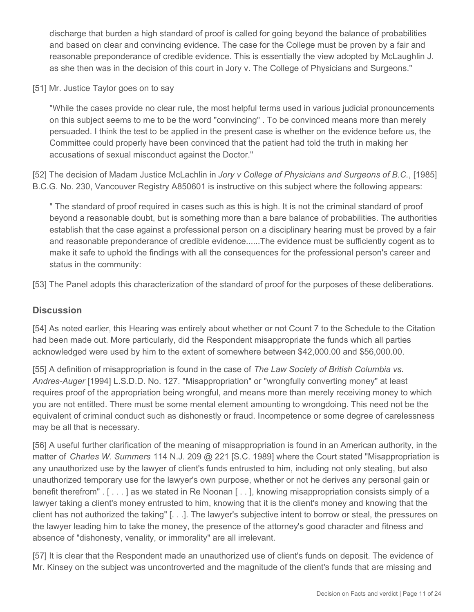discharge that burden a high standard of proof is called for going beyond the balance of probabilities and based on clear and convincing evidence. The case for the College must be proven by a fair and reasonable preponderance of credible evidence. This is essentially the view adopted by McLaughlin J. as she then was in the decision of this court in Jory v. The College of Physicians and Surgeons."

[51] Mr. Justice Taylor goes on to say

"While the cases provide no clear rule, the most helpful terms used in various judicial pronouncements on this subject seems to me to be the word "convincing" . To be convinced means more than merely persuaded. I think the test to be applied in the present case is whether on the evidence before us, the Committee could properly have been convinced that the patient had told the truth in making her accusations of sexual misconduct against the Doctor."

[52] The decision of Madam Justice McLachlin in *Jory v College of Physicians and Surgeons of B.C.*, [1985] B.C.G. No. 230, Vancouver Registry A850601 is instructive on this subject where the following appears:

" The standard of proof required in cases such as this is high. It is not the criminal standard of proof beyond a reasonable doubt, but is something more than a bare balance of probabilities. The authorities establish that the case against a professional person on a disciplinary hearing must be proved by a fair and reasonable preponderance of credible evidence......The evidence must be sufficiently cogent as to make it safe to uphold the findings with all the consequences for the professional person's career and status in the community:

[53] The Panel adopts this characterization of the standard of proof for the purposes of these deliberations.

#### **Discussion**

[54] As noted earlier, this Hearing was entirely about whether or not Count 7 to the Schedule to the Citation had been made out. More particularly, did the Respondent misappropriate the funds which all parties acknowledged were used by him to the extent of somewhere between \$42,000.00 and \$56,000.00.

[55] A definition of misappropriation is found in the case of *The Law Society of British Columbia vs. Andres-Auger* [1994] L.S.D.D. No. 127. "Misappropriation" or "wrongfully converting money" at least requires proof of the appropriation being wrongful, and means more than merely receiving money to which you are not entitled. There must be some mental element amounting to wrongdoing. This need not be the equivalent of criminal conduct such as dishonestly or fraud. Incompetence or some degree of carelessness may be all that is necessary.

[56] A useful further clarification of the meaning of misappropriation is found in an American authority, in the matter of *Charles W. Summers* 114 N.J. 209 @ 221 [S.C. 1989] where the Court stated "Misappropriation is any unauthorized use by the lawyer of client's funds entrusted to him, including not only stealing, but also unauthorized temporary use for the lawyer's own purpose, whether or not he derives any personal gain or benefit therefrom" . [ . . . ] as we stated in Re Noonan [ . . ], knowing misappropriation consists simply of a lawyer taking a client's money entrusted to him, knowing that it is the client's money and knowing that the client has not authorized the taking" [. . .]. The lawyer's subjective intent to borrow or steal, the pressures on the lawyer leading him to take the money, the presence of the attorney's good character and fitness and absence of "dishonesty, venality, or immorality" are all irrelevant.

[57] It is clear that the Respondent made an unauthorized use of client's funds on deposit. The evidence of Mr. Kinsey on the subject was uncontroverted and the magnitude of the client's funds that are missing and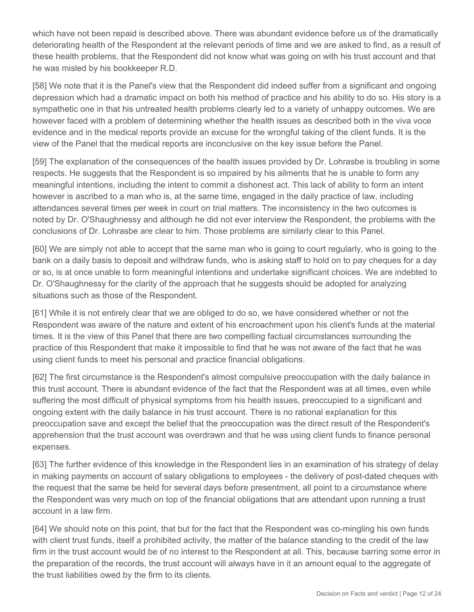which have not been repaid is described above. There was abundant evidence before us of the dramatically deteriorating health of the Respondent at the relevant periods of time and we are asked to find, as a result of these health problems, that the Respondent did not know what was going on with his trust account and that he was misled by his bookkeeper R.D.

[58] We note that it is the Panel's view that the Respondent did indeed suffer from a significant and ongoing depression which had a dramatic impact on both his method of practice and his ability to do so. His story is a sympathetic one in that his untreated health problems clearly led to a variety of unhappy outcomes. We are however faced with a problem of determining whether the health issues as described both in the viva voce evidence and in the medical reports provide an excuse for the wrongful taking of the client funds. It is the view of the Panel that the medical reports are inconclusive on the key issue before the Panel.

[59] The explanation of the consequences of the health issues provided by Dr. Lohrasbe is troubling in some respects. He suggests that the Respondent is so impaired by his ailments that he is unable to form any meaningful intentions, including the intent to commit a dishonest act. This lack of ability to form an intent however is ascribed to a man who is, at the same time, engaged in the daily practice of law, including attendances several times per week in court on trial matters. The inconsistency in the two outcomes is noted by Dr. O'Shaughnessy and although he did not ever interview the Respondent, the problems with the conclusions of Dr. Lohrasbe are clear to him. Those problems are similarly clear to this Panel.

[60] We are simply not able to accept that the same man who is going to court regularly, who is going to the bank on a daily basis to deposit and withdraw funds, who is asking staff to hold on to pay cheques for a day or so, is at once unable to form meaningful intentions and undertake significant choices. We are indebted to Dr. O'Shaughnessy for the clarity of the approach that he suggests should be adopted for analyzing situations such as those of the Respondent.

[61] While it is not entirely clear that we are obliged to do so, we have considered whether or not the Respondent was aware of the nature and extent of his encroachment upon his client's funds at the material times. It is the view of this Panel that there are two compelling factual circumstances surrounding the practice of this Respondent that make it impossible to find that he was not aware of the fact that he was using client funds to meet his personal and practice financial obligations.

[62] The first circumstance is the Respondent's almost compulsive preoccupation with the daily balance in this trust account. There is abundant evidence of the fact that the Respondent was at all times, even while suffering the most difficult of physical symptoms from his health issues, preoccupied to a significant and ongoing extent with the daily balance in his trust account. There is no rational explanation for this preoccupation save and except the belief that the preoccupation was the direct result of the Respondent's apprehension that the trust account was overdrawn and that he was using client funds to finance personal expenses.

[63] The further evidence of this knowledge in the Respondent lies in an examination of his strategy of delay in making payments on account of salary obligations to employees - the delivery of post-dated cheques with the request that the same be held for several days before presentment, all point to a circumstance where the Respondent was very much on top of the financial obligations that are attendant upon running a trust account in a law firm.

[64] We should note on this point, that but for the fact that the Respondent was co-mingling his own funds with client trust funds, itself a prohibited activity, the matter of the balance standing to the credit of the law firm in the trust account would be of no interest to the Respondent at all. This, because barring some error in the preparation of the records, the trust account will always have in it an amount equal to the aggregate of the trust liabilities owed by the firm to its clients.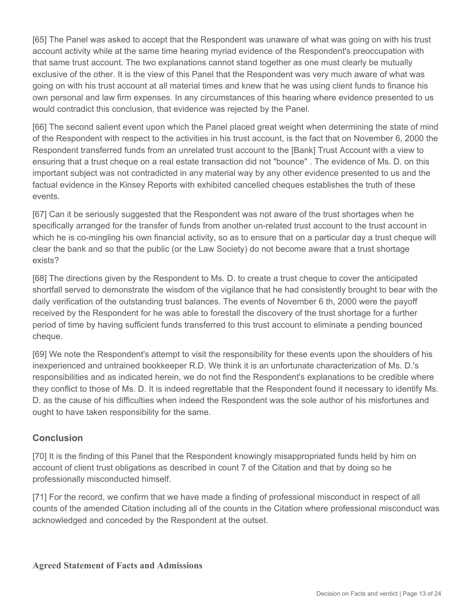[65] The Panel was asked to accept that the Respondent was unaware of what was going on with his trust account activity while at the same time hearing myriad evidence of the Respondent's preoccupation with that same trust account. The two explanations cannot stand together as one must clearly be mutually exclusive of the other. It is the view of this Panel that the Respondent was very much aware of what was going on with his trust account at all material times and knew that he was using client funds to finance his own personal and law firm expenses. In any circumstances of this hearing where evidence presented to us would contradict this conclusion, that evidence was rejected by the Panel.

[66] The second salient event upon which the Panel placed great weight when determining the state of mind of the Respondent with respect to the activities in his trust account, is the fact that on November 6, 2000 the Respondent transferred funds from an unrelated trust account to the [Bank] Trust Account with a view to ensuring that a trust cheque on a real estate transaction did not "bounce" . The evidence of Ms. D. on this important subject was not contradicted in any material way by any other evidence presented to us and the factual evidence in the Kinsey Reports with exhibited cancelled cheques establishes the truth of these events.

[67] Can it be seriously suggested that the Respondent was not aware of the trust shortages when he specifically arranged for the transfer of funds from another un-related trust account to the trust account in which he is co-mingling his own financial activity, so as to ensure that on a particular day a trust cheque will clear the bank and so that the public (or the Law Society) do not become aware that a trust shortage exists?

[68] The directions given by the Respondent to Ms. D. to create a trust cheque to cover the anticipated shortfall served to demonstrate the wisdom of the vigilance that he had consistently brought to bear with the daily verification of the outstanding trust balances. The events of November 6 th, 2000 were the payoff received by the Respondent for he was able to forestall the discovery of the trust shortage for a further period of time by having sufficient funds transferred to this trust account to eliminate a pending bounced cheque.

[69] We note the Respondent's attempt to visit the responsibility for these events upon the shoulders of his inexperienced and untrained bookkeeper R.D. We think it is an unfortunate characterization of Ms. D.'s responsibilities and as indicated herein, we do not find the Respondent's explanations to be credible where they conflict to those of Ms. D. It is indeed regrettable that the Respondent found it necessary to identify Ms. D. as the cause of his difficulties when indeed the Respondent was the sole author of his misfortunes and ought to have taken responsibility for the same.

## **Conclusion**

[70] It is the finding of this Panel that the Respondent knowingly misappropriated funds held by him on account of client trust obligations as described in count 7 of the Citation and that by doing so he professionally misconducted himself.

[71] For the record, we confirm that we have made a finding of professional misconduct in respect of all counts of the amended Citation including all of the counts in the Citation where professional misconduct was acknowledged and conceded by the Respondent at the outset.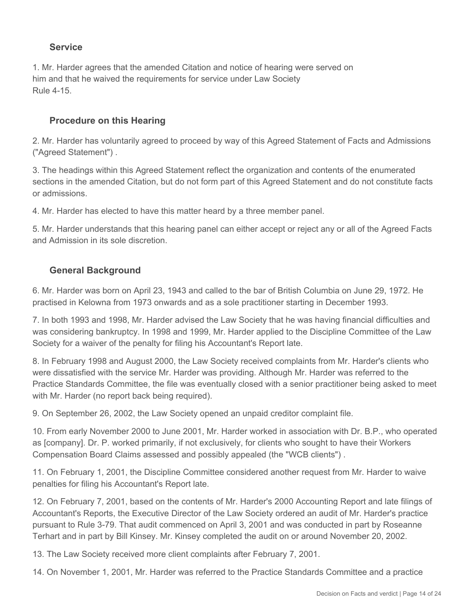## **Service**

1. Mr. Harder agrees that the amended Citation and notice of hearing were served on him and that he waived the requirements for service under Law Society Rule 4-15.

#### **Procedure on this Hearing**

2. Mr. Harder has voluntarily agreed to proceed by way of this Agreed Statement of Facts and Admissions ("Agreed Statement") .

3. The headings within this Agreed Statement reflect the organization and contents of the enumerated sections in the amended Citation, but do not form part of this Agreed Statement and do not constitute facts or admissions.

4. Mr. Harder has elected to have this matter heard by a three member panel.

5. Mr. Harder understands that this hearing panel can either accept or reject any or all of the Agreed Facts and Admission in its sole discretion.

## **General Background**

6. Mr. Harder was born on April 23, 1943 and called to the bar of British Columbia on June 29, 1972. He practised in Kelowna from 1973 onwards and as a sole practitioner starting in December 1993.

7. In both 1993 and 1998, Mr. Harder advised the Law Society that he was having financial difficulties and was considering bankruptcy. In 1998 and 1999, Mr. Harder applied to the Discipline Committee of the Law Society for a waiver of the penalty for filing his Accountant's Report late.

8. In February 1998 and August 2000, the Law Society received complaints from Mr. Harder's clients who were dissatisfied with the service Mr. Harder was providing. Although Mr. Harder was referred to the Practice Standards Committee, the file was eventually closed with a senior practitioner being asked to meet with Mr. Harder (no report back being required).

9. On September 26, 2002, the Law Society opened an unpaid creditor complaint file.

10. From early November 2000 to June 2001, Mr. Harder worked in association with Dr. B.P., who operated as [company]. Dr. P. worked primarily, if not exclusively, for clients who sought to have their Workers Compensation Board Claims assessed and possibly appealed (the "WCB clients") .

11. On February 1, 2001, the Discipline Committee considered another request from Mr. Harder to waive penalties for filing his Accountant's Report late.

12. On February 7, 2001, based on the contents of Mr. Harder's 2000 Accounting Report and late filings of Accountant's Reports, the Executive Director of the Law Society ordered an audit of Mr. Harder's practice pursuant to Rule 3-79. That audit commenced on April 3, 2001 and was conducted in part by Roseanne Terhart and in part by Bill Kinsey. Mr. Kinsey completed the audit on or around November 20, 2002.

13. The Law Society received more client complaints after February 7, 2001.

14. On November 1, 2001, Mr. Harder was referred to the Practice Standards Committee and a practice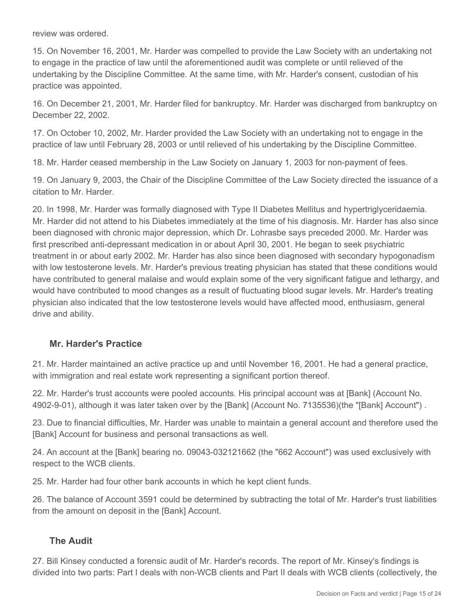review was ordered.

15. On November 16, 2001, Mr. Harder was compelled to provide the Law Society with an undertaking not to engage in the practice of law until the aforementioned audit was complete or until relieved of the undertaking by the Discipline Committee. At the same time, with Mr. Harder's consent, custodian of his practice was appointed.

16. On December 21, 2001, Mr. Harder filed for bankruptcy. Mr. Harder was discharged from bankruptcy on December 22, 2002.

17. On October 10, 2002, Mr. Harder provided the Law Society with an undertaking not to engage in the practice of law until February 28, 2003 or until relieved of his undertaking by the Discipline Committee.

18. Mr. Harder ceased membership in the Law Society on January 1, 2003 for non-payment of fees.

19. On January 9, 2003, the Chair of the Discipline Committee of the Law Society directed the issuance of a citation to Mr. Harder.

20. In 1998, Mr. Harder was formally diagnosed with Type II Diabetes Mellitus and hypertriglyceridaemia. Mr. Harder did not attend to his Diabetes immediately at the time of his diagnosis. Mr. Harder has also since been diagnosed with chronic major depression, which Dr. Lohrasbe says preceded 2000. Mr. Harder was first prescribed anti-depressant medication in or about April 30, 2001. He began to seek psychiatric treatment in or about early 2002. Mr. Harder has also since been diagnosed with secondary hypogonadism with low testosterone levels. Mr. Harder's previous treating physician has stated that these conditions would have contributed to general malaise and would explain some of the very significant fatigue and lethargy, and would have contributed to mood changes as a result of fluctuating blood sugar levels. Mr. Harder's treating physician also indicated that the low testosterone levels would have affected mood, enthusiasm, general drive and ability.

#### **Mr. Harder's Practice**

21. Mr. Harder maintained an active practice up and until November 16, 2001. He had a general practice, with immigration and real estate work representing a significant portion thereof.

22. Mr. Harder's trust accounts were pooled accounts. His principal account was at [Bank] (Account No. 4902-9-01), although it was later taken over by the [Bank] (Account No. 7135536)(the "[Bank] Account") .

23. Due to financial difficulties, Mr. Harder was unable to maintain a general account and therefore used the [Bank] Account for business and personal transactions as well.

24. An account at the [Bank] bearing no. 09043-032121662 (the "662 Account") was used exclusively with respect to the WCB clients.

25. Mr. Harder had four other bank accounts in which he kept client funds.

26. The balance of Account 3591 could be determined by subtracting the total of Mr. Harder's trust liabilities from the amount on deposit in the [Bank] Account.

#### **The Audit**

27. Bill Kinsey conducted a forensic audit of Mr. Harder's records. The report of Mr. Kinsey's findings is divided into two parts: Part I deals with non-WCB clients and Part II deals with WCB clients (collectively, the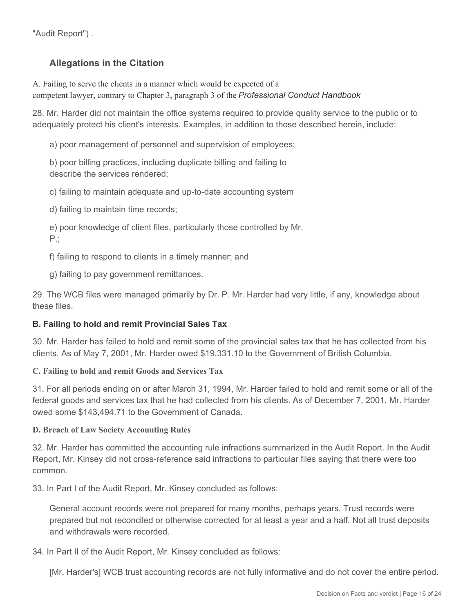"Audit Report") .

## **Allegations in the Citation**

A. Failing to serve the clients in a manner which would be expected of a competent lawyer, contrary to Chapter 3, paragraph 3 of the *Professional Conduct Handbook*

28. Mr. Harder did not maintain the office systems required to provide quality service to the public or to adequately protect his client's interests. Examples, in addition to those described herein, include:

a) poor management of personnel and supervision of employees;

b) poor billing practices, including duplicate billing and failing to describe the services rendered;

c) failing to maintain adequate and up-to-date accounting system

d) failing to maintain time records;

e) poor knowledge of client files, particularly those controlled by Mr. P.;

f) failing to respond to clients in a timely manner; and

g) failing to pay government remittances.

29. The WCB files were managed primarily by Dr. P. Mr. Harder had very little, if any, knowledge about these files.

#### **B. Failing to hold and remit Provincial Sales Tax**

30. Mr. Harder has failed to hold and remit some of the provincial sales tax that he has collected from his clients. As of May 7, 2001, Mr. Harder owed \$19,331.10 to the Government of British Columbia.

#### **C. Failing to hold and remit Goods and Services Tax**

31. For all periods ending on or after March 31, 1994, Mr. Harder failed to hold and remit some or all of the federal goods and services tax that he had collected from his clients. As of December 7, 2001, Mr. Harder owed some \$143,494.71 to the Government of Canada.

#### **D. Breach of Law Society Accounting Rules**

32. Mr. Harder has committed the accounting rule infractions summarized in the Audit Report. In the Audit Report, Mr. Kinsey did not cross-reference said infractions to particular files saying that there were too common.

33. In Part I of the Audit Report, Mr. Kinsey concluded as follows:

General account records were not prepared for many months, perhaps years. Trust records were prepared but not reconciled or otherwise corrected for at least a year and a half. Not all trust deposits and withdrawals were recorded.

#### 34. In Part II of the Audit Report, Mr. Kinsey concluded as follows:

[Mr. Harder's] WCB trust accounting records are not fully informative and do not cover the entire period.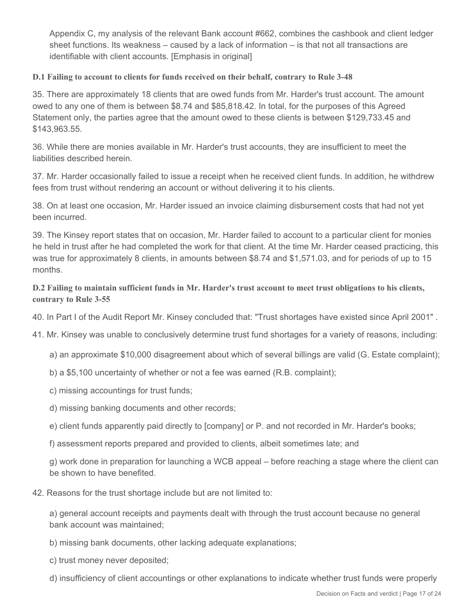Appendix C, my analysis of the relevant Bank account #662, combines the cashbook and client ledger sheet functions. Its weakness – caused by a lack of information – is that not all transactions are identifiable with client accounts. [Emphasis in original]

#### **D.1 Failing to account to clients for funds received on their behalf, contrary to Rule 3-48**

35. There are approximately 18 clients that are owed funds from Mr. Harder's trust account. The amount owed to any one of them is between \$8.74 and \$85,818.42. In total, for the purposes of this Agreed Statement only, the parties agree that the amount owed to these clients is between \$129,733.45 and \$143,963.55.

36. While there are monies available in Mr. Harder's trust accounts, they are insufficient to meet the liabilities described herein.

37. Mr. Harder occasionally failed to issue a receipt when he received client funds. In addition, he withdrew fees from trust without rendering an account or without delivering it to his clients.

38. On at least one occasion, Mr. Harder issued an invoice claiming disbursement costs that had not yet been incurred.

39. The Kinsey report states that on occasion, Mr. Harder failed to account to a particular client for monies he held in trust after he had completed the work for that client. At the time Mr. Harder ceased practicing, this was true for approximately 8 clients, in amounts between \$8.74 and \$1,571.03, and for periods of up to 15 months.

#### **D.2 Failing to maintain sufficient funds in Mr. Harder's trust account to meet trust obligations to his clients, contrary to Rule 3-55**

- 40. In Part I of the Audit Report Mr. Kinsey concluded that: "Trust shortages have existed since April 2001" .
- 41. Mr. Kinsey was unable to conclusively determine trust fund shortages for a variety of reasons, including:
	- a) an approximate \$10,000 disagreement about which of several billings are valid (G. Estate complaint);
	- b) a \$5,100 uncertainty of whether or not a fee was earned (R.B. complaint);
	- c) missing accountings for trust funds;
	- d) missing banking documents and other records;
	- e) client funds apparently paid directly to [company] or P. and not recorded in Mr. Harder's books;
	- f) assessment reports prepared and provided to clients, albeit sometimes late; and

g) work done in preparation for launching a WCB appeal – before reaching a stage where the client can be shown to have benefited.

#### 42. Reasons for the trust shortage include but are not limited to:

a) general account receipts and payments dealt with through the trust account because no general bank account was maintained;

- b) missing bank documents, other lacking adequate explanations;
- c) trust money never deposited;
- d) insufficiency of client accountings or other explanations to indicate whether trust funds were properly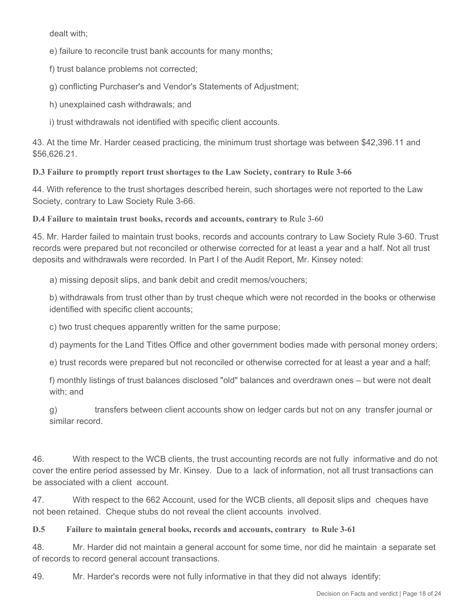dealt with;

e) failure to reconcile trust bank accounts for many months;

f) trust balance problems not corrected;

g) conflicting Purchaser's and Vendor's Statements of Adjustment;

h) unexplained cash withdrawals; and

i) trust withdrawals not identified with specific client accounts.

43. At the time Mr. Harder ceased practicing, the minimum trust shortage was between \$42,396.11 and \$56,626.21.

**D.3 Failure to promptly report trust shortages to the Law Society, contrary to Rule 3-66** 

44. With reference to the trust shortages described herein, such shortages were not reported to the Law Society, contrary to Law Society Rule 3-66.

**D.4 Failure to maintain trust books, records and accounts, contrary to** Rule 3-60

45. Mr. Harder failed to maintain trust books, records and accounts contrary to Law Society Rule 3-60. Trust records were prepared but not reconciled or otherwise corrected for at least a year and a half. Not all trust deposits and withdrawals were recorded. In Part I of the Audit Report, Mr. Kinsey noted:

a) missing deposit slips, and bank debit and credit memos/vouchers;

b) withdrawals from trust other than by trust cheque which were not recorded in the books or otherwise identified with specific client accounts;

c) two trust cheques apparently written for the same purpose;

d) payments for the Land Titles Office and other government bodies made with personal money orders;

e) trust records were prepared but not reconciled or otherwise corrected for at least a year and a half;

f) monthly listings of trust balances disclosed "old" balances and overdrawn ones – but were not dealt with; and

g) transfers between client accounts show on ledger cards but not on any transfer journal or similar record.

46. With respect to the WCB clients, the trust accounting records are not fully informative and do not cover the entire period assessed by Mr. Kinsey. Due to a lack of information, not all trust transactions can be associated with a client account.

47. With respect to the 662 Account, used for the WCB clients, all deposit slips and cheques have not been retained. Cheque stubs do not reveal the client accounts involved.

**D.5 Failure to maintain general books, records and accounts, contrary to Rule 3-61**

48. Mr. Harder did not maintain a general account for some time, nor did he maintain a separate set of records to record general account transactions.

49. Mr. Harder's records were not fully informative in that they did not always identify: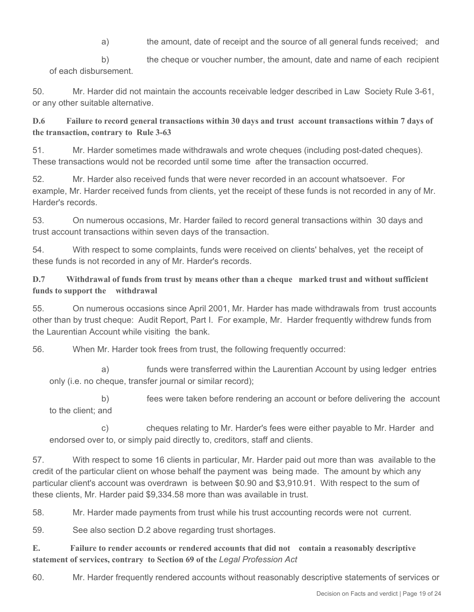a) the amount, date of receipt and the source of all general funds received; and

b) the cheque or voucher number, the amount, date and name of each recipient of each disbursement.

50. Mr. Harder did not maintain the accounts receivable ledger described in Law Society Rule 3-61, or any other suitable alternative.

**D.6 Failure to record general transactions within 30 days and trust account transactions within 7 days of the transaction, contrary to Rule 3-63**

51. Mr. Harder sometimes made withdrawals and wrote cheques (including post-dated cheques). These transactions would not be recorded until some time after the transaction occurred.

52. Mr. Harder also received funds that were never recorded in an account whatsoever. For example, Mr. Harder received funds from clients, yet the receipt of these funds is not recorded in any of Mr. Harder's records.

53. On numerous occasions, Mr. Harder failed to record general transactions within 30 days and trust account transactions within seven days of the transaction.

54. With respect to some complaints, funds were received on clients' behalves, yet the receipt of these funds is not recorded in any of Mr. Harder's records.

#### **D.7 Withdrawal of funds from trust by means other than a cheque marked trust and without sufficient funds to support the withdrawal**

55. On numerous occasions since April 2001, Mr. Harder has made withdrawals from trust accounts other than by trust cheque: Audit Report, Part I. For example, Mr. Harder frequently withdrew funds from the Laurentian Account while visiting the bank.

56. When Mr. Harder took frees from trust, the following frequently occurred:

 a) funds were transferred within the Laurentian Account by using ledger entries only (i.e. no cheque, transfer journal or similar record);

 b) fees were taken before rendering an account or before delivering the account to the client; and

 c) cheques relating to Mr. Harder's fees were either payable to Mr. Harder and endorsed over to, or simply paid directly to, creditors, staff and clients.

57. With respect to some 16 clients in particular, Mr. Harder paid out more than was available to the credit of the particular client on whose behalf the payment was being made. The amount by which any particular client's account was overdrawn is between \$0.90 and \$3,910.91. With respect to the sum of these clients, Mr. Harder paid \$9,334.58 more than was available in trust.

58. Mr. Harder made payments from trust while his trust accounting records were not current.

59. See also section D.2 above regarding trust shortages.

**E. Failure to render accounts or rendered accounts that did not contain a reasonably descriptive statement of services, contrary to Section 69 of the** *Legal Profession Act*

60. Mr. Harder frequently rendered accounts without reasonably descriptive statements of services or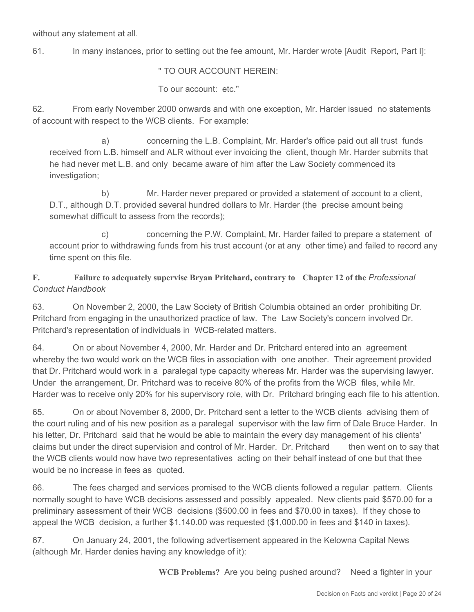without any statement at all.

61. In many instances, prior to setting out the fee amount, Mr. Harder wrote [Audit Report, Part I]:

" TO OUR ACCOUNT HEREIN:

To our account: etc."

62. From early November 2000 onwards and with one exception, Mr. Harder issued no statements of account with respect to the WCB clients. For example:

 a) concerning the L.B. Complaint, Mr. Harder's office paid out all trust funds received from L.B. himself and ALR without ever invoicing the client, though Mr. Harder submits that he had never met L.B. and only became aware of him after the Law Society commenced its investigation:

 b) Mr. Harder never prepared or provided a statement of account to a client, D.T., although D.T. provided several hundred dollars to Mr. Harder (the precise amount being somewhat difficult to assess from the records);

 c) concerning the P.W. Complaint, Mr. Harder failed to prepare a statement of account prior to withdrawing funds from his trust account (or at any other time) and failed to record any time spent on this file.

## **F. Failure to adequately supervise Bryan Pritchard, contrary to Chapter 12 of the** *Professional Conduct Handbook*

63. On November 2, 2000, the Law Society of British Columbia obtained an order prohibiting Dr. Pritchard from engaging in the unauthorized practice of law. The Law Society's concern involved Dr. Pritchard's representation of individuals in WCB-related matters.

64. On or about November 4, 2000, Mr. Harder and Dr. Pritchard entered into an agreement whereby the two would work on the WCB files in association with one another. Their agreement provided that Dr. Pritchard would work in a paralegal type capacity whereas Mr. Harder was the supervising lawyer. Under the arrangement, Dr. Pritchard was to receive 80% of the profits from the WCB files, while Mr. Harder was to receive only 20% for his supervisory role, with Dr. Pritchard bringing each file to his attention.

65. On or about November 8, 2000, Dr. Pritchard sent a letter to the WCB clients advising them of the court ruling and of his new position as a paralegal supervisor with the law firm of Dale Bruce Harder. In his letter, Dr. Pritchard said that he would be able to maintain the every day management of his clients' claims but under the direct supervision and control of Mr. Harder. Dr. Pritchard then went on to say that the WCB clients would now have two representatives acting on their behalf instead of one but that thee would be no increase in fees as quoted.

66. The fees charged and services promised to the WCB clients followed a regular pattern. Clients normally sought to have WCB decisions assessed and possibly appealed. New clients paid \$570.00 for a preliminary assessment of their WCB decisions (\$500.00 in fees and \$70.00 in taxes). If they chose to appeal the WCB decision, a further \$1,140.00 was requested (\$1,000.00 in fees and \$140 in taxes).

67. On January 24, 2001, the following advertisement appeared in the Kelowna Capital News (although Mr. Harder denies having any knowledge of it):

**WCB Problems?** Are you being pushed around? Need a fighter in your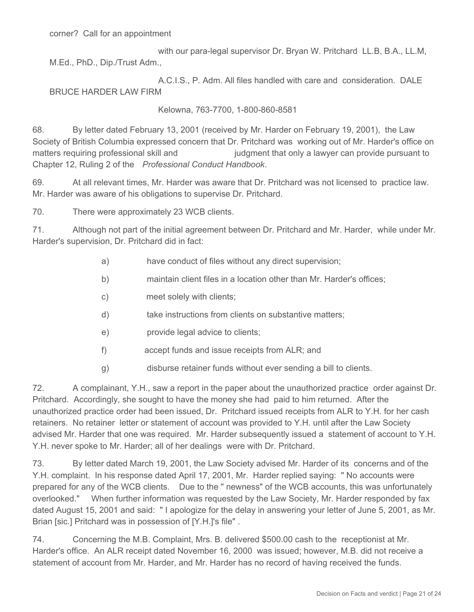with our para-legal supervisor Dr. Bryan W. Pritchard LL.B, B.A., LL.M, M.Ed., PhD., Dip./Trust Adm.,

 A.C.I.S., P. Adm. All files handled with care and consideration. DALE BRUCE HARDER LAW FIRM

Kelowna, 763-7700, 1-800-860-8581

68. By letter dated February 13, 2001 (received by Mr. Harder on February 19, 2001), the Law Society of British Columbia expressed concern that Dr. Pritchard was working out of Mr. Harder's office on matters requiring professional skill and interesty indepent that only a lawyer can provide pursuant to Chapter 12, Ruling 2 of the *Professional Conduct Handbook*.

69. At all relevant times, Mr. Harder was aware that Dr. Pritchard was not licensed to practice law. Mr. Harder was aware of his obligations to supervise Dr. Pritchard.

70. There were approximately 23 WCB clients.

71. Although not part of the initial agreement between Dr. Pritchard and Mr. Harder, while under Mr. Harder's supervision, Dr. Pritchard did in fact:

- a) have conduct of files without any direct supervision;
- b) maintain client files in a location other than Mr. Harder's offices;
- c) meet solely with clients;
- d) take instructions from clients on substantive matters;
- e) provide legal advice to clients;
- f) accept funds and issue receipts from ALR; and
- g) disburse retainer funds without ever sending a bill to clients.

72. A complainant, Y.H., saw a report in the paper about the unauthorized practice order against Dr. Pritchard. Accordingly, she sought to have the money she had paid to him returned. After the unauthorized practice order had been issued, Dr. Pritchard issued receipts from ALR to Y.H. for her cash retainers. No retainer letter or statement of account was provided to Y.H. until after the Law Society advised Mr. Harder that one was required. Mr. Harder subsequently issued a statement of account to Y.H. Y.H. never spoke to Mr. Harder; all of her dealings were with Dr. Pritchard.

73. By letter dated March 19, 2001, the Law Society advised Mr. Harder of its concerns and of the Y.H. complaint. In his response dated April 17, 2001, Mr. Harder replied saying: " No accounts were prepared for any of the WCB clients. Due to the " newness" of the WCB accounts, this was unfortunately overlooked." When further information was requested by the Law Society, Mr. Harder responded by fax dated August 15, 2001 and said: " I apologize for the delay in answering your letter of June 5, 2001, as Mr. Brian [sic.] Pritchard was in possession of [Y.H.]'s file" .

74. Concerning the M.B. Complaint, Mrs. B. delivered \$500.00 cash to the receptionist at Mr. Harder's office. An ALR receipt dated November 16, 2000 was issued; however, M.B. did not receive a statement of account from Mr. Harder, and Mr. Harder has no record of having received the funds.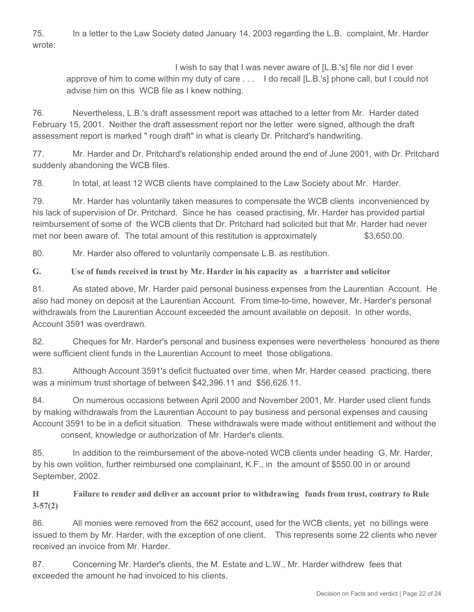75. In a letter to the Law Society dated January 14, 2003 regarding the L.B. complaint, Mr. Harder wrote:

 I wish to say that I was never aware of [L.B.'s] file nor did I ever approve of him to come within my duty of care . . . I do recall [L.B.'s] phone call, but I could not advise him on this WCB file as I knew nothing.

76. Nevertheless, L.B.'s draft assessment report was attached to a letter from Mr. Harder dated February 15, 2001. Neither the draft assessment report nor the letter were signed, although the draft assessment report is marked " rough draft" in what is clearly Dr. Pritchard's handwriting.

77. Mr. Harder and Dr. Pritchard's relationship ended around the end of June 2001, with Dr. Pritchard suddenly abandoning the WCB files.

78. In total, at least 12 WCB clients have complained to the Law Society about Mr. Harder.

79. Mr. Harder has voluntarily taken measures to compensate the WCB clients inconvenienced by his lack of supervision of Dr. Pritchard. Since he has ceased practising, Mr. Harder has provided partial reimbursement of some of the WCB clients that Dr. Pritchard had solicited but that Mr. Harder had never met nor been aware of. The total amount of this restitution is approximately  $$3,650.00$ .

80. Mr. Harder also offered to voluntarily compensate L.B. as restitution.

**G. Use of funds received in trust by Mr. Harder in his capacity as a barrister and solicitor**

81. As stated above, Mr. Harder paid personal business expenses from the Laurentian Account. He also had money on deposit at the Laurentian Account. From time-to-time, however, Mr. Harder's personal withdrawals from the Laurentian Account exceeded the amount available on deposit. In other words, Account 3591 was overdrawn.

82. Cheques for Mr. Harder's personal and business expenses were nevertheless honoured as there were sufficient client funds in the Laurentian Account to meet those obligations.

83. Although Account 3591's deficit fluctuated over time, when Mr. Harder ceased practicing, there was a minimum trust shortage of between \$42,396.11 and \$56,626.11.

84. On numerous occasions between April 2000 and November 2001, Mr. Harder used client funds by making withdrawals from the Laurentian Account to pay business and personal expenses and causing Account 3591 to be in a deficit situation. These withdrawals were made without entitlement and without the consent, knowledge or authorization of Mr. Harder's clients.

85. In addition to the reimbursement of the above-noted WCB clients under heading G, Mr. Harder, by his own volition, further reimbursed one complainant, K.F., in the amount of \$550.00 in or around September, 2002.

**H Failure to render and deliver an account prior to withdrawing funds from trust, contrary to Rule 3-57(2)**

86. All monies were removed from the 662 account, used for the WCB clients, yet no billings were issued to them by Mr. Harder, with the exception of one client. This represents some 22 clients who never received an invoice from Mr. Harder.

87. Concerning Mr. Harder's clients, the M. Estate and L.W., Mr. Harder withdrew fees that exceeded the amount he had invoiced to his clients.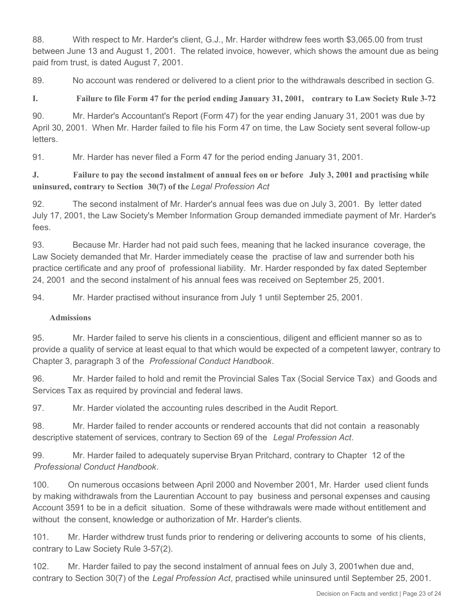88. With respect to Mr. Harder's client, G.J., Mr. Harder withdrew fees worth \$3,065.00 from trust between June 13 and August 1, 2001. The related invoice, however, which shows the amount due as being paid from trust, is dated August 7, 2001.

89. No account was rendered or delivered to a client prior to the withdrawals described in section G.

**I. Failure to file Form 47 for the period ending January 31, 2001, contrary to Law Society Rule 3-72**

90. Mr. Harder's Accountant's Report (Form 47) for the year ending January 31, 2001 was due by April 30, 2001. When Mr. Harder failed to file his Form 47 on time, the Law Society sent several follow-up letters.

91. Mr. Harder has never filed a Form 47 for the period ending January 31, 2001.

#### **J. Failure to pay the second instalment of annual fees on or before July 3, 2001 and practising while uninsured, contrary to Section 30(7) of the** *Legal Profession Act*

92. The second instalment of Mr. Harder's annual fees was due on July 3, 2001. By letter dated July 17, 2001, the Law Society's Member Information Group demanded immediate payment of Mr. Harder's fees.

93. Because Mr. Harder had not paid such fees, meaning that he lacked insurance coverage, the Law Society demanded that Mr. Harder immediately cease the practise of law and surrender both his practice certificate and any proof of professional liability. Mr. Harder responded by fax dated September 24, 2001 and the second instalment of his annual fees was received on September 25, 2001.

94. Mr. Harder practised without insurance from July 1 until September 25, 2001.

#### **Admissions**

95. Mr. Harder failed to serve his clients in a conscientious, diligent and efficient manner so as to provide a quality of service at least equal to that which would be expected of a competent lawyer, contrary to Chapter 3, paragraph 3 of the *Professional Conduct Handbook*.

96. Mr. Harder failed to hold and remit the Provincial Sales Tax (Social Service Tax) and Goods and Services Tax as required by provincial and federal laws.

97. Mr. Harder violated the accounting rules described in the Audit Report.

98. Mr. Harder failed to render accounts or rendered accounts that did not contain a reasonably descriptive statement of services, contrary to Section 69 of the *Legal Profession Act*.

99. Mr. Harder failed to adequately supervise Bryan Pritchard, contrary to Chapter 12 of the *Professional Conduct Handbook*.

100. On numerous occasions between April 2000 and November 2001, Mr. Harder used client funds by making withdrawals from the Laurentian Account to pay business and personal expenses and causing Account 3591 to be in a deficit situation. Some of these withdrawals were made without entitlement and without the consent, knowledge or authorization of Mr. Harder's clients.

101. Mr. Harder withdrew trust funds prior to rendering or delivering accounts to some of his clients, contrary to Law Society Rule 3-57(2).

102. Mr. Harder failed to pay the second instalment of annual fees on July 3, 2001when due and, contrary to Section 30(7) of the *Legal Profession Act*, practised while uninsured until September 25, 2001.